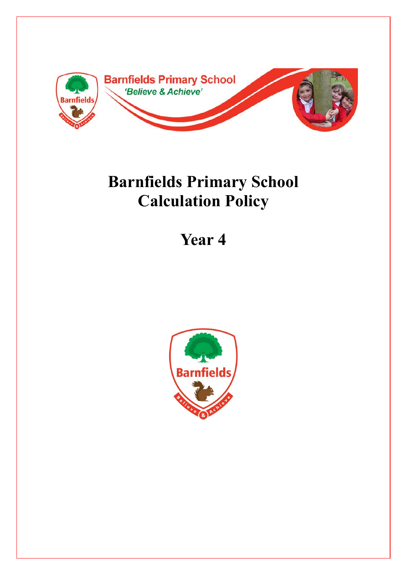

## **Barnfields Primary School Calculation Policy**

## **Year 4**

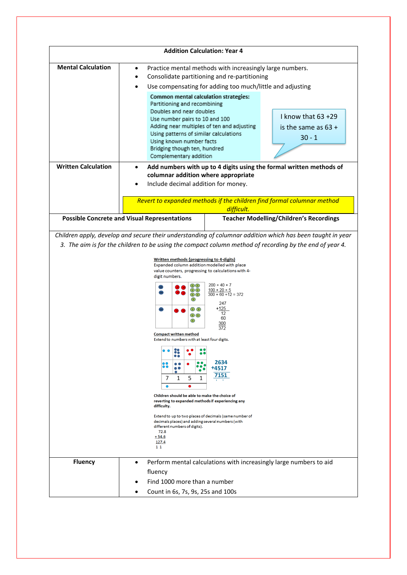|                            | <b>Addition Calculation: Year 4</b>                                                                                                                                                                                                                                                                                                                                                                             |                                                                                                                                                                       |                                                                                                                                               |
|----------------------------|-----------------------------------------------------------------------------------------------------------------------------------------------------------------------------------------------------------------------------------------------------------------------------------------------------------------------------------------------------------------------------------------------------------------|-----------------------------------------------------------------------------------------------------------------------------------------------------------------------|-----------------------------------------------------------------------------------------------------------------------------------------------|
| <b>Mental Calculation</b>  | ٠<br>Common mental calculation strategies:<br>Partitioning and recombining<br>Doubles and near doubles<br>Use number pairs to 10 and 100<br>Adding near multiples of ten and adjusting<br>Using patterns of similar calculations<br>Using known number facts<br>Bridging though ten, hundred<br>Complementary addition                                                                                          | Practice mental methods with increasingly large numbers.<br>Consolidate partitioning and re-partitioning<br>Use compensating for adding too much/little and adjusting | I know that $63 + 29$<br>is the same as $63 +$<br>$30 - 1$                                                                                    |
| <b>Written Calculation</b> | $\bullet$<br>columnar addition where appropriate<br>Include decimal addition for money.                                                                                                                                                                                                                                                                                                                         |                                                                                                                                                                       | Add numbers with up to 4 digits using the formal written methods of<br>Revert to expanded methods if the children find formal columnar method |
|                            |                                                                                                                                                                                                                                                                                                                                                                                                                 | difficult.                                                                                                                                                            |                                                                                                                                               |
|                            | <b>Possible Concrete and Visual Representations</b>                                                                                                                                                                                                                                                                                                                                                             |                                                                                                                                                                       | <b>Teacher Modelling/Children's Recordings</b>                                                                                                |
|                            | Written methods (progressing to 4-digits)<br>Expanded column addition modelled with place<br>value counters, progressing to calculations with 4-<br>digit numbers.<br>$\Omega$<br>$\bigcirc$ $\bigcirc$<br>$\Omega$<br>$\bigcirc$<br>$\odot$ $\odot$<br>$\bigcirc$ $\bigcirc$<br>$\circled{1}$<br><b>Compact written method</b>                                                                                 | $200 + 40 + 7$<br>$100 + 20 + 5$<br>$\overline{300 + 60 + 12} = 372$<br>247<br>+125<br>12<br>60<br>300<br>372                                                         |                                                                                                                                               |
|                            | Extend to numbers with at least four digits.<br>e 0<br>$\bullet$<br>7<br>1<br>5<br>1<br>$\bullet$<br>$\bullet$<br>Children should be able to make the choice of<br>reverting to expanded methods if experiencing any<br>difficulty.<br>Extend to up to two places of decimals (same number of<br>decimals places) and adding several numbers (with<br>different numbers of digits).<br>72.8<br>$+54.6$<br>127.4 | 2634<br>+4517<br>7151                                                                                                                                                 |                                                                                                                                               |
|                            | 11                                                                                                                                                                                                                                                                                                                                                                                                              |                                                                                                                                                                       |                                                                                                                                               |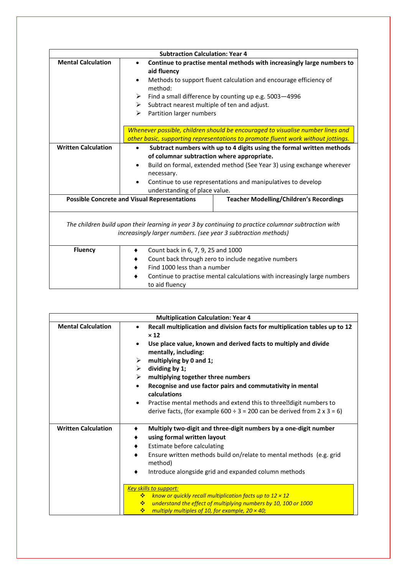|                                                                                                                                                                       | <b>Subtraction Calculation: Year 4</b>                                                                                                                                                                                                                                                                                                              |  |  |
|-----------------------------------------------------------------------------------------------------------------------------------------------------------------------|-----------------------------------------------------------------------------------------------------------------------------------------------------------------------------------------------------------------------------------------------------------------------------------------------------------------------------------------------------|--|--|
| <b>Mental Calculation</b>                                                                                                                                             | Continue to practise mental methods with increasingly large numbers to<br>$\bullet$<br>aid fluency<br>Methods to support fluent calculation and encourage efficiency of<br>$\bullet$<br>method:<br>Find a small difference by counting up e.g. 5003-4996<br>➤<br>Subtract nearest multiple of ten and adjust.<br>≻<br>Partition larger numbers<br>≻ |  |  |
|                                                                                                                                                                       | Whenever possible, children should be encouraged to visualise number lines and<br>other basic, supporting representations to promote fluent work without jottings.                                                                                                                                                                                  |  |  |
| <b>Written Calculation</b>                                                                                                                                            | Subtract numbers with up to 4 digits using the formal written methods<br>$\bullet$<br>of columnar subtraction where appropriate.<br>Build on formal, extended method (See Year 3) using exchange wherever<br>$\bullet$<br>necessary.<br>Continue to use representations and manipulatives to develop<br>understanding of place value.               |  |  |
|                                                                                                                                                                       | <b>Possible Concrete and Visual Representations</b><br><b>Teacher Modelling/Children's Recordings</b>                                                                                                                                                                                                                                               |  |  |
| The children build upon their learning in year 3 by continuing to practice columnar subtraction with<br>increasingly larger numbers. (see year 3 subtraction methods) |                                                                                                                                                                                                                                                                                                                                                     |  |  |
| <b>Fluency</b>                                                                                                                                                        | Count back in 6, 7, 9, 25 and 1000<br>Count back through zero to include negative numbers<br>Find 1000 less than a number<br>Continue to practise mental calculations with increasingly large numbers<br>to aid fluency                                                                                                                             |  |  |

|                            | <b>Multiplication Calculation: Year 4</b>                                                                                                                      |  |  |
|----------------------------|----------------------------------------------------------------------------------------------------------------------------------------------------------------|--|--|
| <b>Mental Calculation</b>  | Recall multiplication and division facts for multiplication tables up to 12<br>$\times 12$                                                                     |  |  |
|                            | Use place value, known and derived facts to multiply and divide<br>$\bullet$<br>mentally, including:                                                           |  |  |
|                            | multiplying by 0 and 1;<br>≻                                                                                                                                   |  |  |
|                            | dividing by 1;<br>≻                                                                                                                                            |  |  |
|                            | multiplying together three numbers<br>➤                                                                                                                        |  |  |
|                            | Recognise and use factor pairs and commutativity in mental<br>$\bullet$<br>calculations                                                                        |  |  |
|                            | Practise mental methods and extend this to three digit numbers to<br>$\bullet$<br>derive facts, (for example $600 \div 3 = 200$ can be derived from 2 x 3 = 6) |  |  |
| <b>Written Calculation</b> | Multiply two-digit and three-digit numbers by a one-digit number                                                                                               |  |  |
|                            | using formal written layout<br>٠                                                                                                                               |  |  |
|                            | Estimate before calculating<br>٠                                                                                                                               |  |  |
|                            | Ensure written methods build on/relate to mental methods (e.g. grid<br>٠<br>method)                                                                            |  |  |
|                            | Introduce alongside grid and expanded column methods                                                                                                           |  |  |
|                            | Key skills to support:                                                                                                                                         |  |  |
|                            | know or quickly recall multiplication facts up to $12 \times 12$<br>÷                                                                                          |  |  |
|                            | understand the effect of multiplying numbers by 10, 100 or 1000<br><b>参</b>                                                                                    |  |  |
|                            | multiply multiples of 10, for example, $20 \times 40$ ;<br>❖                                                                                                   |  |  |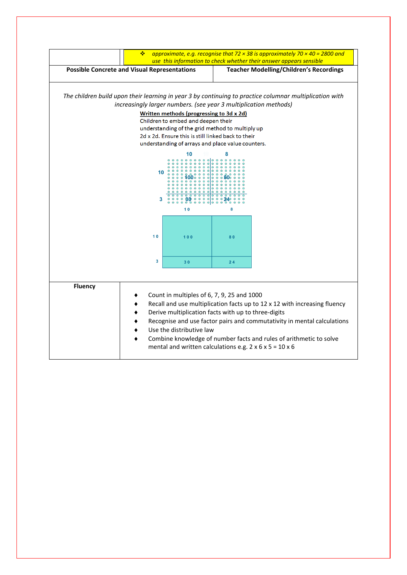